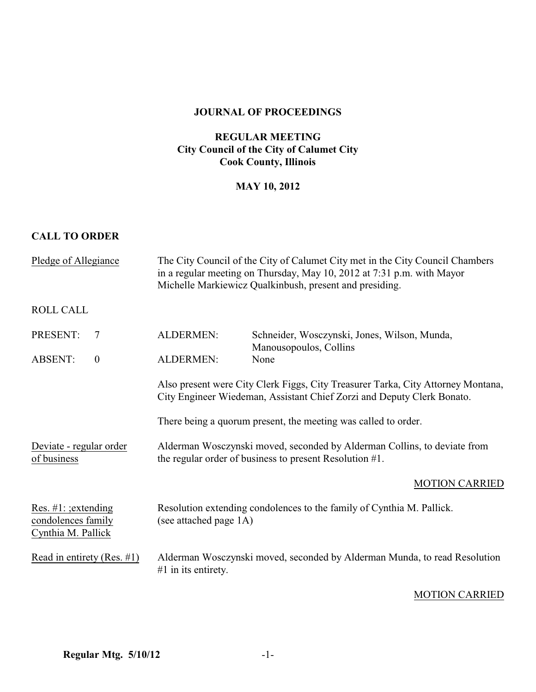#### **JOURNAL OF PROCEEDINGS**

# **REGULAR MEETING City Council of the City of Calumet City Cook County, Illinois**

## **MAY 10, 2012**

### **CALL TO ORDER**

| Pledge of Allegiance                                                                                 | The City Council of the City of Calumet City met in the City Council Chambers<br>in a regular meeting on Thursday, May 10, 2012 at 7:31 p.m. with Mayor<br>Michelle Markiewicz Qualkinbush, present and presiding. |                                                                          |
|------------------------------------------------------------------------------------------------------|--------------------------------------------------------------------------------------------------------------------------------------------------------------------------------------------------------------------|--------------------------------------------------------------------------|
| <b>ROLL CALL</b>                                                                                     |                                                                                                                                                                                                                    |                                                                          |
| PRESENT:<br>$\overline{7}$                                                                           | <b>ALDERMEN:</b>                                                                                                                                                                                                   | Schneider, Wosczynski, Jones, Wilson, Munda,<br>Manousopoulos, Collins   |
| <b>ABSENT:</b><br>$\boldsymbol{0}$                                                                   | <b>ALDERMEN:</b>                                                                                                                                                                                                   | None                                                                     |
|                                                                                                      | Also present were City Clerk Figgs, City Treasurer Tarka, City Attorney Montana,<br>City Engineer Wiedeman, Assistant Chief Zorzi and Deputy Clerk Bonato.                                                         |                                                                          |
|                                                                                                      | There being a quorum present, the meeting was called to order.                                                                                                                                                     |                                                                          |
| Deviate - regular order<br>the regular order of business to present Resolution $#1$ .<br>of business |                                                                                                                                                                                                                    | Alderman Wosczynski moved, seconded by Alderman Collins, to deviate from |
|                                                                                                      |                                                                                                                                                                                                                    | <b>MOTION CARRIED</b>                                                    |
| Res. $#1$ : ; extending<br>condolences family<br>Cynthia M. Pallick                                  | Resolution extending condolences to the family of Cynthia M. Pallick.<br>(see attached page 1A)                                                                                                                    |                                                                          |
| Read in entirety (Res. $\#1$ )                                                                       | Alderman Wosczynski moved, seconded by Alderman Munda, to read Resolution<br>$#1$ in its entirety.                                                                                                                 |                                                                          |

### MOTION CARRIED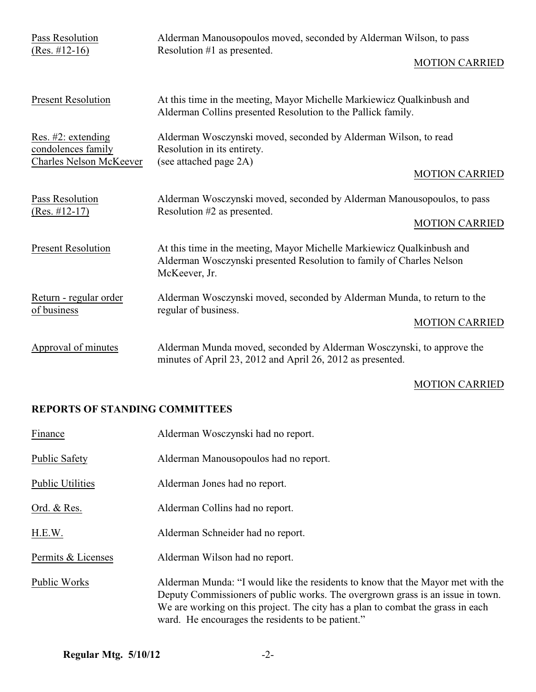| Pass Resolution<br>$(Res. #12-16)$                                         | Alderman Manousopoulos moved, seconded by Alderman Wilson, to pass<br>Resolution #1 as presented.<br><b>MOTION CARRIED</b>                                      |
|----------------------------------------------------------------------------|-----------------------------------------------------------------------------------------------------------------------------------------------------------------|
| <b>Present Resolution</b>                                                  | At this time in the meeting, Mayor Michelle Markiewicz Qualkinbush and<br>Alderman Collins presented Resolution to the Pallick family.                          |
| Res. #2: extending<br>condolences family<br><b>Charles Nelson McKeever</b> | Alderman Wosczynski moved, seconded by Alderman Wilson, to read<br>Resolution in its entirety.<br>(see attached page 2A)<br><b>MOTION CARRIED</b>               |
| Pass Resolution<br>$(Res. #12-17)$                                         | Alderman Wosczynski moved, seconded by Alderman Manousopoulos, to pass<br>Resolution #2 as presented.<br><b>MOTION CARRIED</b>                                  |
| <b>Present Resolution</b>                                                  | At this time in the meeting, Mayor Michelle Markiewicz Qualkinbush and<br>Alderman Wosczynski presented Resolution to family of Charles Nelson<br>McKeever, Jr. |
| Return - regular order<br>of business                                      | Alderman Wosczynski moved, seconded by Alderman Munda, to return to the<br>regular of business.<br><b>MOTION CARRIED</b>                                        |
| Approval of minutes                                                        | Alderman Munda moved, seconded by Alderman Wosczynski, to approve the<br>minutes of April 23, 2012 and April 26, 2012 as presented.                             |

# MOTION CARRIED

# **REPORTS OF STANDING COMMITTEES**

| Finance                 | Alderman Wosczynski had no report.                                                                                                                                                                                                                                                                        |  |  |
|-------------------------|-----------------------------------------------------------------------------------------------------------------------------------------------------------------------------------------------------------------------------------------------------------------------------------------------------------|--|--|
| <b>Public Safety</b>    | Alderman Manousopoulos had no report.                                                                                                                                                                                                                                                                     |  |  |
| <b>Public Utilities</b> | Alderman Jones had no report.                                                                                                                                                                                                                                                                             |  |  |
| Ord. & Res.             | Alderman Collins had no report.                                                                                                                                                                                                                                                                           |  |  |
| H.E.W.                  | Alderman Schneider had no report.                                                                                                                                                                                                                                                                         |  |  |
| Permits & Licenses      | Alderman Wilson had no report.                                                                                                                                                                                                                                                                            |  |  |
| Public Works            | Alderman Munda: "I would like the residents to know that the Mayor met with the<br>Deputy Commissioners of public works. The overgrown grass is an issue in town.<br>We are working on this project. The city has a plan to combat the grass in each<br>ward. He encourages the residents to be patient." |  |  |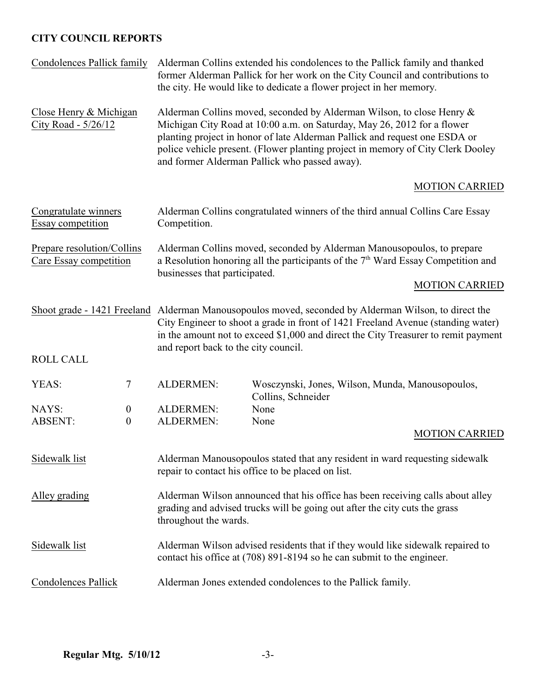# **CITY COUNCIL REPORTS**

| Condolences Pallick family                                                                           |                                      | Alderman Collins extended his condolences to the Pallick family and thanked<br>former Alderman Pallick for her work on the City Council and contributions to<br>the city. He would like to dedicate a flower project in her memory.                                                                                                                                |                                                                                  |  |                                                                                    |
|------------------------------------------------------------------------------------------------------|--------------------------------------|--------------------------------------------------------------------------------------------------------------------------------------------------------------------------------------------------------------------------------------------------------------------------------------------------------------------------------------------------------------------|----------------------------------------------------------------------------------|--|------------------------------------------------------------------------------------|
| Close Henry & Michigan<br>City Road - 5/26/12                                                        |                                      | Alderman Collins moved, seconded by Alderman Wilson, to close Henry &<br>Michigan City Road at 10:00 a.m. on Saturday, May 26, 2012 for a flower<br>planting project in honor of late Alderman Pallick and request one ESDA or<br>police vehicle present. (Flower planting project in memory of City Clerk Dooley<br>and former Alderman Pallick who passed away). |                                                                                  |  |                                                                                    |
|                                                                                                      |                                      |                                                                                                                                                                                                                                                                                                                                                                    |                                                                                  |  | <b>MOTION CARRIED</b>                                                              |
| Congratulate winners<br>Essay competition                                                            |                                      | Alderman Collins congratulated winners of the third annual Collins Care Essay<br>Competition.                                                                                                                                                                                                                                                                      |                                                                                  |  |                                                                                    |
| Prepare resolution/Collins<br>Care Essay competition                                                 |                                      | Alderman Collins moved, seconded by Alderman Manousopoulos, to prepare<br>a Resolution honoring all the participants of the $7th$ Ward Essay Competition and<br>businesses that participated.                                                                                                                                                                      |                                                                                  |  |                                                                                    |
|                                                                                                      |                                      |                                                                                                                                                                                                                                                                                                                                                                    |                                                                                  |  | <b>MOTION CARRIED</b>                                                              |
| Shoot grade - 1421 Freeland Alderman Manousopoulos moved, seconded by Alderman Wilson, to direct the |                                      | and report back to the city council.                                                                                                                                                                                                                                                                                                                               | City Engineer to shoot a grade in front of 1421 Freeland Avenue (standing water) |  | in the amount not to exceed \$1,000 and direct the City Treasurer to remit payment |
| <b>ROLL CALL</b>                                                                                     |                                      |                                                                                                                                                                                                                                                                                                                                                                    |                                                                                  |  |                                                                                    |
| YEAS:                                                                                                | 7                                    | ALDERMEN:                                                                                                                                                                                                                                                                                                                                                          | Wosczynski, Jones, Wilson, Munda, Manousopoulos,<br>Collins, Schneider           |  |                                                                                    |
| NAYS:<br><b>ABSENT:</b>                                                                              | $\boldsymbol{0}$<br>$\boldsymbol{0}$ | ALDERMEN:<br>ALDERMEN:                                                                                                                                                                                                                                                                                                                                             | None<br>None                                                                     |  |                                                                                    |
|                                                                                                      |                                      |                                                                                                                                                                                                                                                                                                                                                                    |                                                                                  |  | <b>MOTION CARRIED</b>                                                              |
| Sidewalk list                                                                                        |                                      | Alderman Manousopoulos stated that any resident in ward requesting sidewalk<br>repair to contact his office to be placed on list.                                                                                                                                                                                                                                  |                                                                                  |  |                                                                                    |
| Alley grading                                                                                        |                                      | Alderman Wilson announced that his office has been receiving calls about alley<br>grading and advised trucks will be going out after the city cuts the grass<br>throughout the wards.                                                                                                                                                                              |                                                                                  |  |                                                                                    |
| Sidewalk list                                                                                        |                                      | Alderman Wilson advised residents that if they would like sidewalk repaired to<br>contact his office at (708) 891-8194 so he can submit to the engineer.                                                                                                                                                                                                           |                                                                                  |  |                                                                                    |
| Condolences Pallick                                                                                  |                                      | Alderman Jones extended condolences to the Pallick family.                                                                                                                                                                                                                                                                                                         |                                                                                  |  |                                                                                    |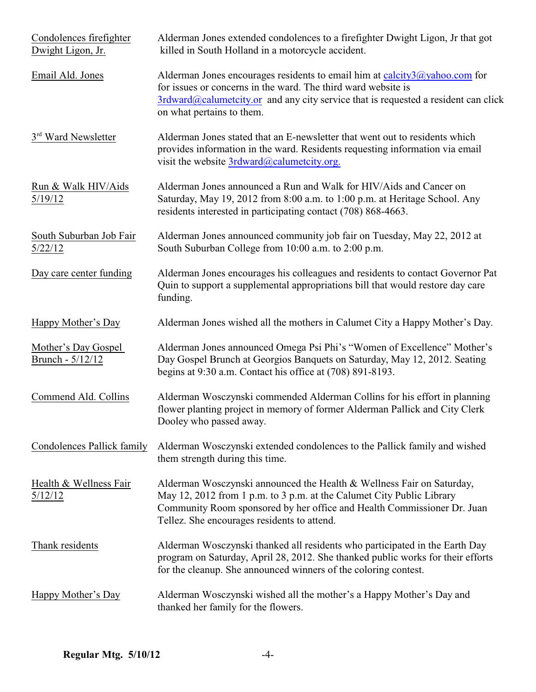| Condolences firefighter<br>Dwight Ligon, Jr. | Alderman Jones extended condolences to a firefighter Dwight Ligon, Jr that got<br>killed in South Holland in a motorcycle accident.                                                                                                                                      |
|----------------------------------------------|--------------------------------------------------------------------------------------------------------------------------------------------------------------------------------------------------------------------------------------------------------------------------|
| Email Ald. Jones                             | Alderman Jones encourages residents to email him at calcity3@yahoo.com for<br>for issues or concerns in the ward. The third ward website is<br>$3$ rdward@calumetcity.or and any city service that is requested a resident can click<br>on what pertains to them.        |
| 3 <sup>rd</sup> Ward Newsletter              | Alderman Jones stated that an E-newsletter that went out to residents which<br>provides information in the ward. Residents requesting information via email<br>visit the website 3rdward@calumetcity.org.                                                                |
| Run & Walk HIV/Aids<br>5/19/12               | Alderman Jones announced a Run and Walk for HIV/Aids and Cancer on<br>Saturday, May 19, 2012 from 8:00 a.m. to 1:00 p.m. at Heritage School. Any<br>residents interested in participating contact (708) 868-4663.                                                        |
| South Suburban Job Fair<br>5/22/12           | Alderman Jones announced community job fair on Tuesday, May 22, 2012 at<br>South Suburban College from 10:00 a.m. to 2:00 p.m.                                                                                                                                           |
| Day care center funding                      | Alderman Jones encourages his colleagues and residents to contact Governor Pat<br>Quin to support a supplemental appropriations bill that would restore day care<br>funding.                                                                                             |
| Happy Mother's Day                           | Alderman Jones wished all the mothers in Calumet City a Happy Mother's Day.                                                                                                                                                                                              |
| Mother's Day Gospel<br>Brunch - 5/12/12      | Alderman Jones announced Omega Psi Phi's "Women of Excellence" Mother's<br>Day Gospel Brunch at Georgios Banquets on Saturday, May 12, 2012. Seating<br>begins at 9:30 a.m. Contact his office at (708) 891-8193.                                                        |
| Commend Ald. Collins                         | Alderman Wosczynski commended Alderman Collins for his effort in planning<br>flower planting project in memory of former Alderman Pallick and City Clerk<br>Dooley who passed away.                                                                                      |
| <b>Condolences Pallick family</b>            | Alderman Wosczynski extended condolences to the Pallick family and wished<br>them strength during this time.                                                                                                                                                             |
| Health & Wellness Fair<br>5/12/12            | Alderman Wosczynski announced the Health & Wellness Fair on Saturday,<br>May 12, 2012 from 1 p.m. to 3 p.m. at the Calumet City Public Library<br>Community Room sponsored by her office and Health Commissioner Dr. Juan<br>Tellez. She encourages residents to attend. |
| Thank residents                              | Alderman Wosczynski thanked all residents who participated in the Earth Day<br>program on Saturday, April 28, 2012. She thanked public works for their efforts<br>for the cleanup. She announced winners of the coloring contest.                                        |
| Happy Mother's Day                           | Alderman Wosczynski wished all the mother's a Happy Mother's Day and<br>thanked her family for the flowers.                                                                                                                                                              |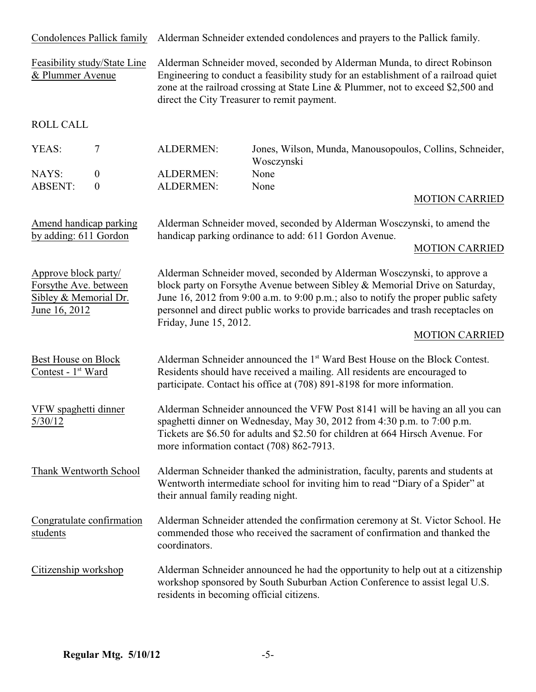Condolences Pallick family Alderman Schneider extended condolences and prayers to the Pallick family.

Feasibility study/State Line Alderman Schneider moved, seconded by Alderman Munda, to direct Robinson & Plummer Avenue Engineering to conduct a feasibility study for an establishment of a railroad quiet zone at the railroad crossing at State Line & Plummer, not to exceed \$2,500 and direct the City Treasurer to remit payment.

ROLL CALL

| YEAS:   | ALDERMEN: | Jones, Wilson, Munda, Manousopoulos, Collins, Schneider,<br>Wosczynski |
|---------|-----------|------------------------------------------------------------------------|
| NAYS:   | ALDERMEN: | None                                                                   |
| ABSENT: | ALDERMEN: | None                                                                   |

#### MOTION CARRIED

Amend handicap parking Alderman Schneider moved, seconded by Alderman Wosczynski, to amend the by adding: 611 Gordon handicap parking ordinance to add: 611 Gordon Avenue.

#### MOTION CARRIED

Approve block party/<br>
Alderman Schneider moved, seconded by Alderman Wosczynski, to approve a<br>
Forsythe Avenue between Sibley & Memorial Drive on Saturday block party on Forsythe Avenue between Sibley & Memorial Drive on Saturday, Sibley & Memorial Dr. June 16, 2012 from 9:00 a.m. to 9:00 p.m.; also to notify the proper public safety June 16, 2012 personnel and direct public works to provide barricades and trash receptacles on Friday, June 15, 2012.

#### MOTION CARRIED

| Best House on Block<br>Contest - 1 <sup>st</sup> Ward | Alderman Schneider announced the 1 <sup>st</sup> Ward Best House on the Block Contest.<br>Residents should have received a mailing. All residents are encouraged to<br>participate. Contact his office at (708) 891-8198 for more information.                                         |
|-------------------------------------------------------|----------------------------------------------------------------------------------------------------------------------------------------------------------------------------------------------------------------------------------------------------------------------------------------|
| VFW spaghetti dinner<br>5/30/12                       | Alderman Schneider announced the VFW Post 8141 will be having an all you can<br>spaghetti dinner on Wednesday, May 30, 2012 from 4:30 p.m. to 7:00 p.m.<br>Tickets are \$6.50 for adults and \$2.50 for children at 664 Hirsch Avenue. For<br>more information contact (708) 862-7913. |
| Thank Wentworth School                                | Alderman Schneider thanked the administration, faculty, parents and students at<br>Wentworth intermediate school for inviting him to read "Diary of a Spider" at<br>their annual family reading night.                                                                                 |
| Congratulate confirmation<br>students                 | Alderman Schneider attended the confirmation ceremony at St. Victor School. He<br>commended those who received the sacrament of confirmation and thanked the<br>coordinators.                                                                                                          |
| Citizenship workshop                                  | Alderman Schneider announced he had the opportunity to help out at a citizenship<br>workshop sponsored by South Suburban Action Conference to assist legal U.S.<br>residents in becoming official citizens.                                                                            |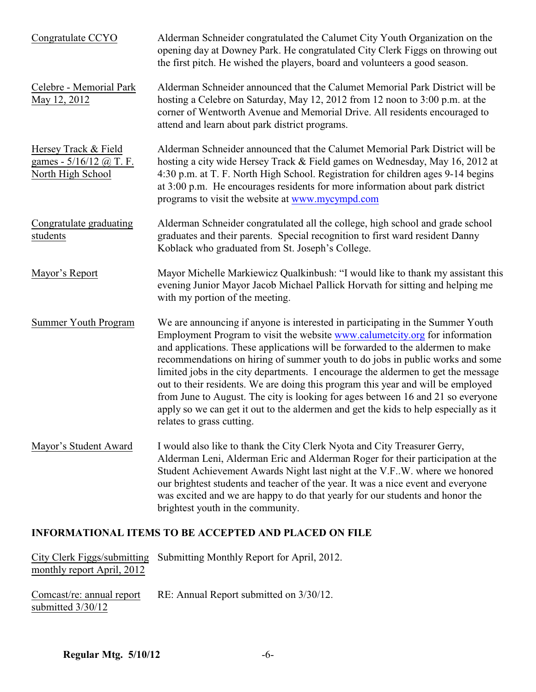| Congratulate CCYO                                                    | Alderman Schneider congratulated the Calumet City Youth Organization on the<br>opening day at Downey Park. He congratulated City Clerk Figgs on throwing out<br>the first pitch. He wished the players, board and volunteers a good season.                                                                                                                                                                                                                                                                                                                                                                                                                                                                       |  |
|----------------------------------------------------------------------|-------------------------------------------------------------------------------------------------------------------------------------------------------------------------------------------------------------------------------------------------------------------------------------------------------------------------------------------------------------------------------------------------------------------------------------------------------------------------------------------------------------------------------------------------------------------------------------------------------------------------------------------------------------------------------------------------------------------|--|
| Celebre - Memorial Park<br>May 12, 2012                              | Alderman Schneider announced that the Calumet Memorial Park District will be<br>hosting a Celebre on Saturday, May 12, 2012 from 12 noon to 3:00 p.m. at the<br>corner of Wentworth Avenue and Memorial Drive. All residents encouraged to<br>attend and learn about park district programs.                                                                                                                                                                                                                                                                                                                                                                                                                      |  |
| Hersey Track & Field<br>games - 5/16/12 @ T. F.<br>North High School | Alderman Schneider announced that the Calumet Memorial Park District will be<br>hosting a city wide Hersey Track & Field games on Wednesday, May 16, 2012 at<br>4:30 p.m. at T. F. North High School. Registration for children ages 9-14 begins<br>at 3:00 p.m. He encourages residents for more information about park district<br>programs to visit the website at www.mycympd.com                                                                                                                                                                                                                                                                                                                             |  |
| Congratulate graduating<br>students                                  | Alderman Schneider congratulated all the college, high school and grade school<br>graduates and their parents. Special recognition to first ward resident Danny<br>Koblack who graduated from St. Joseph's College.                                                                                                                                                                                                                                                                                                                                                                                                                                                                                               |  |
| Mayor's Report                                                       | Mayor Michelle Markiewicz Qualkinbush: "I would like to thank my assistant this<br>evening Junior Mayor Jacob Michael Pallick Horvath for sitting and helping me<br>with my portion of the meeting.                                                                                                                                                                                                                                                                                                                                                                                                                                                                                                               |  |
| <b>Summer Youth Program</b>                                          | We are announcing if anyone is interested in participating in the Summer Youth<br>Employment Program to visit the website www.calumetcity.org for information<br>and applications. These applications will be forwarded to the aldermen to make<br>recommendations on hiring of summer youth to do jobs in public works and some<br>limited jobs in the city departments. I encourage the aldermen to get the message<br>out to their residents. We are doing this program this year and will be employed<br>from June to August. The city is looking for ages between 16 and 21 so everyone<br>apply so we can get it out to the aldermen and get the kids to help especially as it<br>relates to grass cutting. |  |
| Mayor's Student Award                                                | I would also like to thank the City Clerk Nyota and City Treasurer Gerry,<br>Alderman Leni, Alderman Eric and Alderman Roger for their participation at the<br>Student Achievement Awards Night last night at the V.FW. where we honored<br>our brightest students and teacher of the year. It was a nice event and everyone<br>was excited and we are happy to do that yearly for our students and honor the<br>brightest youth in the community.                                                                                                                                                                                                                                                                |  |
| <b>INFORMATIONAL ITEMS TO BE ACCEPTED AND PLACED ON FILE</b>         |                                                                                                                                                                                                                                                                                                                                                                                                                                                                                                                                                                                                                                                                                                                   |  |
| City Clerk Figgs/submitting<br>monthly report April, 2012            | Submitting Monthly Report for April, 2012.                                                                                                                                                                                                                                                                                                                                                                                                                                                                                                                                                                                                                                                                        |  |

RE: Annual Report submitted on 3/30/12. Comcast/re: annual report<br>submitted  $3/30/12$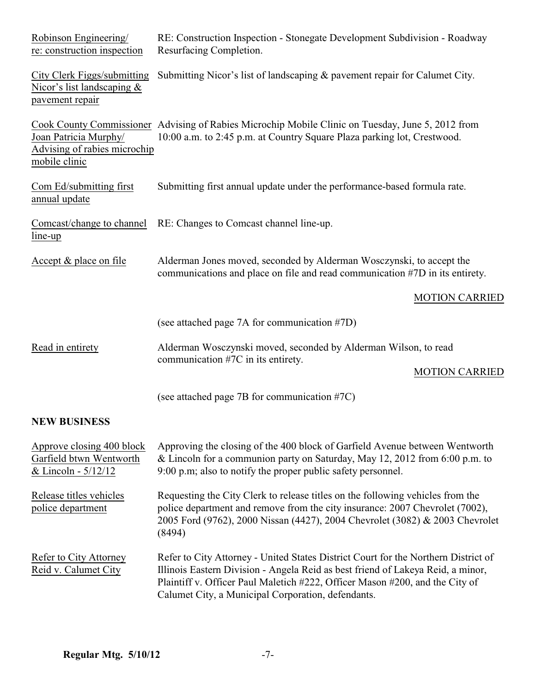| Robinson Engineering/<br>re: construction inspection                                  | RE: Construction Inspection - Stonegate Development Subdivision - Roadway<br>Resurfacing Completion.                                                                                                                                                                                                        |  |
|---------------------------------------------------------------------------------------|-------------------------------------------------------------------------------------------------------------------------------------------------------------------------------------------------------------------------------------------------------------------------------------------------------------|--|
| <b>City Clerk Figgs/submitting</b><br>Nicor's list landscaping $&$<br>pavement repair | Submitting Nicor's list of landscaping & pavement repair for Calumet City.                                                                                                                                                                                                                                  |  |
| Joan Patricia Murphy/<br>Advising of rabies microchip<br>mobile clinic                | Cook County Commissioner Advising of Rabies Microchip Mobile Clinic on Tuesday, June 5, 2012 from<br>10:00 a.m. to 2:45 p.m. at Country Square Plaza parking lot, Crestwood.                                                                                                                                |  |
| Com Ed/submitting first<br>annual update                                              | Submitting first annual update under the performance-based formula rate.                                                                                                                                                                                                                                    |  |
| Comcast/change to channel<br>$line-up$                                                | RE: Changes to Comcast channel line-up.                                                                                                                                                                                                                                                                     |  |
| Accept & place on file                                                                | Alderman Jones moved, seconded by Alderman Wosczynski, to accept the<br>communications and place on file and read communication #7D in its entirety.                                                                                                                                                        |  |
|                                                                                       | <b>MOTION CARRIED</b>                                                                                                                                                                                                                                                                                       |  |
|                                                                                       | (see attached page 7A for communication #7D)                                                                                                                                                                                                                                                                |  |
| Read in entirety                                                                      | Alderman Wosczynski moved, seconded by Alderman Wilson, to read<br>communication #7C in its entirety.                                                                                                                                                                                                       |  |
|                                                                                       | <b>MOTION CARRIED</b>                                                                                                                                                                                                                                                                                       |  |
|                                                                                       | (see attached page 7B for communication #7C)                                                                                                                                                                                                                                                                |  |
| <b>NEW BUSINESS</b>                                                                   |                                                                                                                                                                                                                                                                                                             |  |
| Approve closing 400 block<br>Garfield btwn Wentworth<br>& Lincoln - $5/12/12$         | Approving the closing of the 400 block of Garfield Avenue between Wentworth<br>& Lincoln for a communion party on Saturday, May 12, 2012 from 6:00 p.m. to<br>9:00 p.m; also to notify the proper public safety personnel.                                                                                  |  |
| Release titles vehicles<br>police department                                          | Requesting the City Clerk to release titles on the following vehicles from the<br>police department and remove from the city insurance: 2007 Chevrolet (7002),<br>2005 Ford (9762), 2000 Nissan (4427), 2004 Chevrolet (3082) & 2003 Chevrolet<br>(8494)                                                    |  |
| Refer to City Attorney<br>Reid v. Calumet City                                        | Refer to City Attorney - United States District Court for the Northern District of<br>Illinois Eastern Division - Angela Reid as best friend of Lakeya Reid, a minor,<br>Plaintiff v. Officer Paul Maletich #222, Officer Mason #200, and the City of<br>Calumet City, a Municipal Corporation, defendants. |  |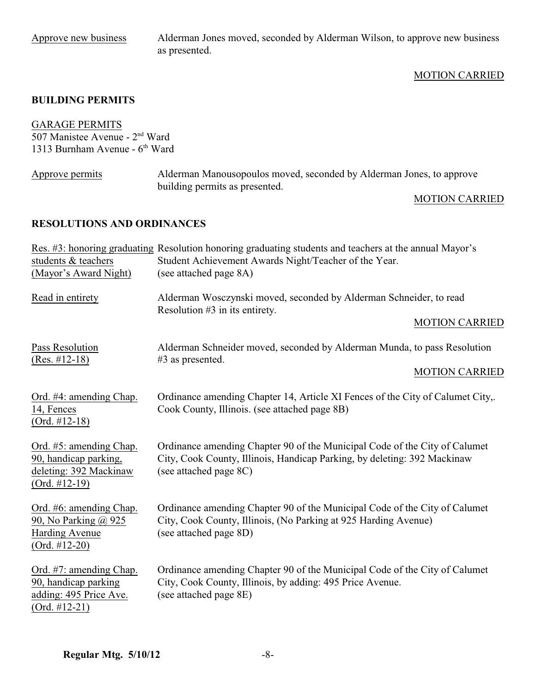Approve new business Alderman Jones moved, seconded by Alderman Wilson, to approve new business as presented.

### MOTION CARRIED

#### **BUILDING PERMITS**

### GARAGE PERMITS

507 Manistee Avenue -  $2<sup>nd</sup>$  Ward 1313 Burnham Avenue -  $6<sup>th</sup>$  Ward

| Approve permits | Alderman Manousopoulos moved, seconded by Alderman Jones, to approve |  |
|-----------------|----------------------------------------------------------------------|--|
|                 | building permits as presented.                                       |  |

#### MOTION CARRIED

# **RESOLUTIONS AND ORDINANCES**

|                                                                                               | Res. #3: honoring graduating Resolution honoring graduating students and teachers at the annual Mayor's                                                                          |  |  |
|-----------------------------------------------------------------------------------------------|----------------------------------------------------------------------------------------------------------------------------------------------------------------------------------|--|--|
| students & teachers                                                                           | Student Achievement Awards Night/Teacher of the Year.                                                                                                                            |  |  |
| (Mayor's Award Night)                                                                         | (see attached page 8A)                                                                                                                                                           |  |  |
| Read in entirety                                                                              | Alderman Wosczynski moved, seconded by Alderman Schneider, to read<br>Resolution #3 in its entirety.                                                                             |  |  |
|                                                                                               | <b>MOTION CARRIED</b>                                                                                                                                                            |  |  |
| Pass Resolution<br>$(Res. #12-18)$                                                            | Alderman Schneider moved, seconded by Alderman Munda, to pass Resolution<br>$#3$ as presented.                                                                                   |  |  |
|                                                                                               | <b>MOTION CARRIED</b>                                                                                                                                                            |  |  |
| Ord. #4: amending Chap.<br>14, Fences<br>$(Ord. #12-18)$                                      | Ordinance amending Chapter 14, Article XI Fences of the City of Calumet City,.<br>Cook County, Illinois. (see attached page 8B)                                                  |  |  |
| Ord. #5: amending Chap.<br>90, handicap parking,<br>deleting: 392 Mackinaw<br>$(Ord. #12-19)$ | Ordinance amending Chapter 90 of the Municipal Code of the City of Calumet<br>City, Cook County, Illinois, Handicap Parking, by deleting: 392 Mackinaw<br>(see attached page 8C) |  |  |
| Ord. #6: amending Chap.<br>90, No Parking @ 925<br><b>Harding Avenue</b><br>$(Ord. #12-20)$   | Ordinance amending Chapter 90 of the Municipal Code of the City of Calumet<br>City, Cook County, Illinois, (No Parking at 925 Harding Avenue)<br>(see attached page 8D)          |  |  |
| Ord. #7: amending Chap.<br>90, handicap parking<br>adding: 495 Price Ave.<br>$(Ord. #12-21)$  | Ordinance amending Chapter 90 of the Municipal Code of the City of Calumet<br>City, Cook County, Illinois, by adding: 495 Price Avenue.<br>(see attached page 8E)                |  |  |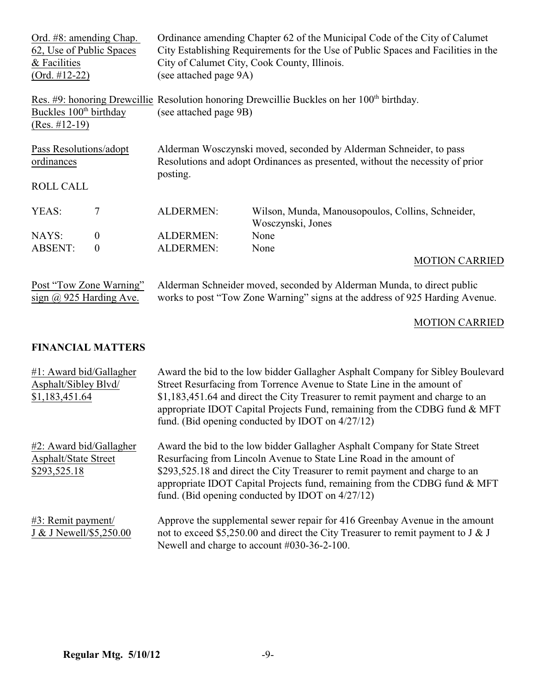| Ord. #8: amending Chap.            |                         | Ordinance amending Chapter 62 of the Municipal Code of the City of Calumet                |                                                                                                        |  |
|------------------------------------|-------------------------|-------------------------------------------------------------------------------------------|--------------------------------------------------------------------------------------------------------|--|
| 62, Use of Public Spaces           |                         | City Establishing Requirements for the Use of Public Spaces and Facilities in the         |                                                                                                        |  |
| & Facilities                       |                         |                                                                                           | City of Calumet City, Cook County, Illinois.                                                           |  |
| $(Ord. #12-22)$                    |                         | (see attached page 9A)                                                                    |                                                                                                        |  |
|                                    |                         |                                                                                           | Res. #9: honoring Drewcillie Resolution honoring Drewcillie Buckles on her 100 <sup>th</sup> birthday. |  |
| Buckles 100 <sup>th</sup> birthday |                         | (see attached page 9B)                                                                    |                                                                                                        |  |
| $(Res. #12-19)$                    |                         |                                                                                           |                                                                                                        |  |
| Pass Resolutions/adopt             |                         |                                                                                           | Alderman Wosczynski moved, seconded by Alderman Schneider, to pass                                     |  |
| ordinances                         |                         | Resolutions and adopt Ordinances as presented, without the necessity of prior<br>posting. |                                                                                                        |  |
| <b>ROLL CALL</b>                   |                         |                                                                                           |                                                                                                        |  |
| YEAS:                              | 7                       | <b>ALDERMEN:</b>                                                                          | Wilson, Munda, Manousopoulos, Collins, Schneider,                                                      |  |
|                                    |                         |                                                                                           | Wosczynski, Jones                                                                                      |  |
| NAYS:                              | $\overline{0}$          | <b>ALDERMEN:</b>                                                                          | None                                                                                                   |  |
| <b>ABSENT:</b>                     | $\boldsymbol{0}$        | <b>ALDERMEN:</b>                                                                          | None                                                                                                   |  |
|                                    |                         |                                                                                           | <b>MOTION CARRIED</b>                                                                                  |  |
|                                    | Post "Tow Zone Warning" |                                                                                           | Alderman Schneider moved, seconded by Alderman Munda, to direct public                                 |  |

sign  $@$  925 Harding Ave. works to post "Tow Zone Warning" signs at the address of 925 Harding Avenue.

MOTION CARRIED

# **FINANCIAL MATTERS**

| $#1$ : Award bid/Gallagher<br>Asphalt/Sibley Blvd/<br>\$1,183,451.64   | Award the bid to the low bidder Gallagher Asphalt Company for Sibley Boulevard<br>Street Resurfacing from Torrence Avenue to State Line in the amount of<br>\$1,183,451.64 and direct the City Treasurer to remit payment and charge to an<br>appropriate IDOT Capital Projects Fund, remaining from the CDBG fund $\&$ MFT<br>fund. (Bid opening conducted by IDOT on $4/27/12$ ) |
|------------------------------------------------------------------------|------------------------------------------------------------------------------------------------------------------------------------------------------------------------------------------------------------------------------------------------------------------------------------------------------------------------------------------------------------------------------------|
| #2: Award bid/Gallagher<br><b>Asphalt/State Street</b><br>\$293,525.18 | Award the bid to the low bidder Gallagher Asphalt Company for State Street<br>Resurfacing from Lincoln Avenue to State Line Road in the amount of<br>\$293,525.18 and direct the City Treasurer to remit payment and charge to an<br>appropriate IDOT Capital Projects fund, remaining from the CDBG fund $\&$ MFT<br>fund. (Bid opening conducted by IDOT on $4/27/12$ )          |
| $#3$ : Remit payment/<br>J & J Newell/\$5,250.00                       | Approve the supplemental sewer repair for 416 Greenbay Avenue in the amount<br>not to exceed \$5,250.00 and direct the City Treasurer to remit payment to J & J<br>Newell and charge to account #030-36-2-100.                                                                                                                                                                     |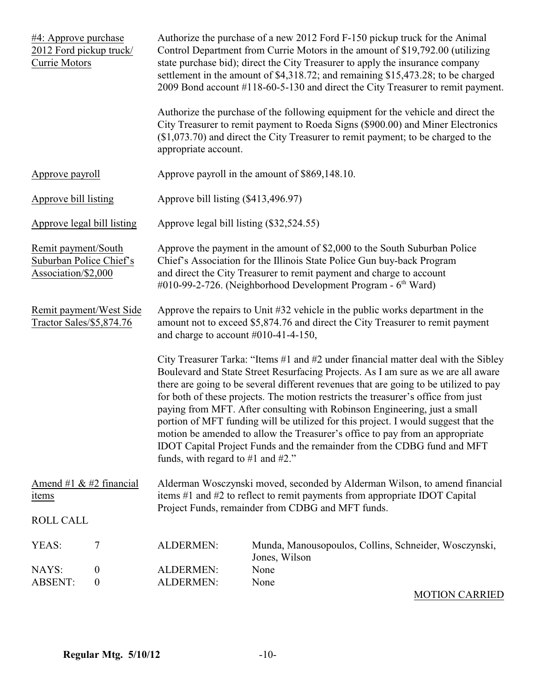| #4: Approve purchase<br>2012 Ford pickup truck/<br>Currie Motors      |                                      | Authorize the purchase of a new 2012 Ford F-150 pickup truck for the Animal<br>Control Department from Currie Motors in the amount of \$19,792.00 (utilizing<br>state purchase bid); direct the City Treasurer to apply the insurance company<br>settlement in the amount of \$4,318.72; and remaining \$15,473.28; to be charged<br>2009 Bond account #118-60-5-130 and direct the City Treasurer to remit payment.                                                                                                                                                                                                                                                                                                     |                                                                                                                                                                                                                                                           |  |
|-----------------------------------------------------------------------|--------------------------------------|--------------------------------------------------------------------------------------------------------------------------------------------------------------------------------------------------------------------------------------------------------------------------------------------------------------------------------------------------------------------------------------------------------------------------------------------------------------------------------------------------------------------------------------------------------------------------------------------------------------------------------------------------------------------------------------------------------------------------|-----------------------------------------------------------------------------------------------------------------------------------------------------------------------------------------------------------------------------------------------------------|--|
|                                                                       |                                      | appropriate account.                                                                                                                                                                                                                                                                                                                                                                                                                                                                                                                                                                                                                                                                                                     | Authorize the purchase of the following equipment for the vehicle and direct the<br>City Treasurer to remit payment to Roeda Signs (\$900.00) and Miner Electronics<br>$($1,073.70)$ and direct the City Treasurer to remit payment; to be charged to the |  |
| Approve payroll                                                       |                                      |                                                                                                                                                                                                                                                                                                                                                                                                                                                                                                                                                                                                                                                                                                                          | Approve payroll in the amount of \$869,148.10.                                                                                                                                                                                                            |  |
| Approve bill listing                                                  |                                      | Approve bill listing (\$413,496.97)                                                                                                                                                                                                                                                                                                                                                                                                                                                                                                                                                                                                                                                                                      |                                                                                                                                                                                                                                                           |  |
| Approve legal bill listing                                            |                                      | Approve legal bill listing (\$32,524.55)                                                                                                                                                                                                                                                                                                                                                                                                                                                                                                                                                                                                                                                                                 |                                                                                                                                                                                                                                                           |  |
| Remit payment/South<br>Suburban Police Chief's<br>Association/\$2,000 |                                      | Approve the payment in the amount of \$2,000 to the South Suburban Police<br>Chief's Association for the Illinois State Police Gun buy-back Program<br>and direct the City Treasurer to remit payment and charge to account<br>$\#010$ -99-2-726. (Neighborhood Development Program - 6 <sup>th</sup> Ward)                                                                                                                                                                                                                                                                                                                                                                                                              |                                                                                                                                                                                                                                                           |  |
| Remit payment/West Side<br>Tractor Sales/\$5,874.76                   |                                      | Approve the repairs to Unit #32 vehicle in the public works department in the<br>amount not to exceed \$5,874.76 and direct the City Treasurer to remit payment<br>and charge to account $#010-41-4-150$ ,                                                                                                                                                                                                                                                                                                                                                                                                                                                                                                               |                                                                                                                                                                                                                                                           |  |
|                                                                       |                                      | City Treasurer Tarka: "Items #1 and #2 under financial matter deal with the Sibley<br>Boulevard and State Street Resurfacing Projects. As I am sure as we are all aware<br>there are going to be several different revenues that are going to be utilized to pay<br>for both of these projects. The motion restricts the treasurer's office from just<br>paying from MFT. After consulting with Robinson Engineering, just a small<br>portion of MFT funding will be utilized for this project. I would suggest that the<br>motion be amended to allow the Treasurer's office to pay from an appropriate<br>IDOT Capital Project Funds and the remainder from the CDBG fund and MFT<br>funds, with regard to #1 and #2." |                                                                                                                                                                                                                                                           |  |
| Amend #1 $&$ #2 financial<br>items                                    |                                      | Alderman Wosczynski moved, seconded by Alderman Wilson, to amend financial<br>items #1 and #2 to reflect to remit payments from appropriate IDOT Capital<br>Project Funds, remainder from CDBG and MFT funds.                                                                                                                                                                                                                                                                                                                                                                                                                                                                                                            |                                                                                                                                                                                                                                                           |  |
| <b>ROLL CALL</b>                                                      |                                      |                                                                                                                                                                                                                                                                                                                                                                                                                                                                                                                                                                                                                                                                                                                          |                                                                                                                                                                                                                                                           |  |
| YEAS:                                                                 | 7                                    | <b>ALDERMEN:</b>                                                                                                                                                                                                                                                                                                                                                                                                                                                                                                                                                                                                                                                                                                         | Munda, Manousopoulos, Collins, Schneider, Wosczynski,<br>Jones, Wilson                                                                                                                                                                                    |  |
| NAYS:<br><b>ABSENT:</b>                                               | $\boldsymbol{0}$<br>$\boldsymbol{0}$ | <b>ALDERMEN:</b><br><b>ALDERMEN:</b>                                                                                                                                                                                                                                                                                                                                                                                                                                                                                                                                                                                                                                                                                     | None<br>None                                                                                                                                                                                                                                              |  |

MOTION CARRIED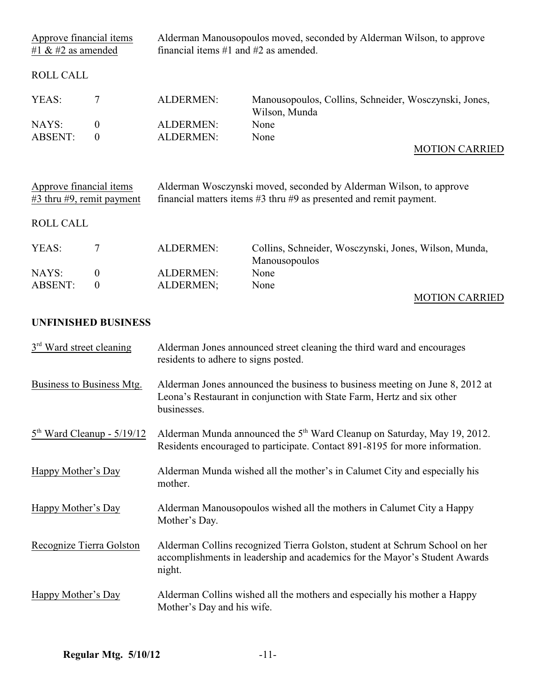| Approve financial items<br>#1 $\&$ #2 as amended          |                                      | Alderman Manousopoulos moved, seconded by Alderman Wilson, to approve<br>financial items $#1$ and $#2$ as amended.                                                    |                                                                        |  |
|-----------------------------------------------------------|--------------------------------------|-----------------------------------------------------------------------------------------------------------------------------------------------------------------------|------------------------------------------------------------------------|--|
| <b>ROLL CALL</b>                                          |                                      |                                                                                                                                                                       |                                                                        |  |
| YEAS:                                                     | 7                                    | <b>ALDERMEN:</b>                                                                                                                                                      | Manousopoulos, Collins, Schneider, Wosczynski, Jones,<br>Wilson, Munda |  |
| NAYS:<br><b>ABSENT:</b>                                   | $\mathbf{0}$<br>$\boldsymbol{0}$     | <b>ALDERMEN:</b><br><b>ALDERMEN:</b>                                                                                                                                  | None<br>None<br><b>MOTION CARRIED</b>                                  |  |
| Approve financial items<br>$#3$ thru $#9$ , remit payment |                                      | Alderman Wosczynski moved, seconded by Alderman Wilson, to approve<br>financial matters items $#3$ thru $#9$ as presented and remit payment.                          |                                                                        |  |
| <b>ROLL CALL</b>                                          |                                      |                                                                                                                                                                       |                                                                        |  |
| YEAS:                                                     | $\tau$                               | <b>ALDERMEN:</b>                                                                                                                                                      | Collins, Schneider, Wosczynski, Jones, Wilson, Munda,<br>Manousopoulos |  |
| NAYS:<br><b>ABSENT:</b>                                   | $\boldsymbol{0}$<br>$\boldsymbol{0}$ | <b>ALDERMEN:</b><br>ALDERMEN;                                                                                                                                         | None<br>None<br><b>MOTION CARRIED</b>                                  |  |
|                                                           | <b>UNFINISHED BUSINESS</b>           |                                                                                                                                                                       |                                                                        |  |
| 3 <sup>rd</sup> Ward street cleaning                      |                                      | Alderman Jones announced street cleaning the third ward and encourages<br>residents to adhere to signs posted.                                                        |                                                                        |  |
| Business to Business Mtg.                                 |                                      | Alderman Jones announced the business to business meeting on June 8, 2012 at<br>Leona's Restaurant in conjunction with State Farm, Hertz and six other<br>businesses. |                                                                        |  |
| $5th$ Ward Cleanup - $5/19/12$                            |                                      | Alderman Munda announced the 5 <sup>th</sup> Ward Cleanup on Saturday, May 19, 2012.<br>Residents encouraged to participate. Contact 891-8195 for more information.   |                                                                        |  |
| Happy Mother's Day                                        |                                      | Alderman Munda wished all the mother's in Calumet City and especially his<br>mother.                                                                                  |                                                                        |  |
| Happy Mother's Day                                        |                                      | Alderman Manousopoulos wished all the mothers in Calumet City a Happy<br>Mother's Day.                                                                                |                                                                        |  |
| Recognize Tierra Golston                                  |                                      | Alderman Collins recognized Tierra Golston, student at Schrum School on her<br>accomplishments in leadership and academics for the Mayor's Student Awards<br>night.   |                                                                        |  |
| Happy Mother's Day                                        |                                      | Alderman Collins wished all the mothers and especially his mother a Happy<br>Mother's Day and his wife.                                                               |                                                                        |  |